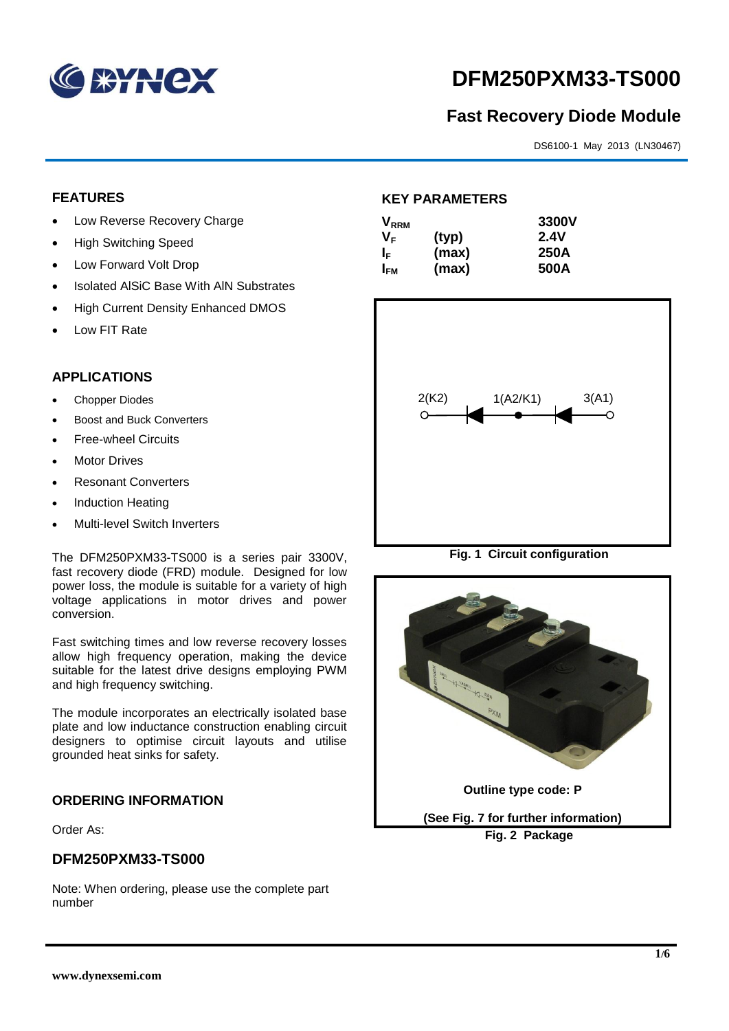

# **DFM250PXM33-TS000**

## **Fast Recovery Diode Module**

DS6100-1 May 2013 (LN30467)

#### **FEATURES**

- Low Reverse Recovery Charge
- High Switching Speed
- Low Forward Volt Drop
- Isolated AISiC Base With AIN Substrates
- High Current Density Enhanced DMOS
- Low FIT Rate

#### **APPLICATIONS**

- Chopper Diodes
- Boost and Buck Converters
- Free-wheel Circuits
- Motor Drives
- Resonant Converters
- Induction Heating
- Multi-level Switch Inverters

The DFM250PXM33-TS000 is a series pair 3300V, fast recovery diode (FRD) module. Designed for low power loss, the module is suitable for a variety of high voltage applications in motor drives and power conversion.

Fast switching times and low reverse recovery losses allow high frequency operation, making the device suitable for the latest drive designs employing PWM and high frequency switching.

The module incorporates an electrically isolated base plate and low inductance construction enabling circuit designers to optimise circuit layouts and utilise grounded heat sinks for safety.

#### **ORDERING INFORMATION**

Order As:

#### **DFM250PXM33-TS000**

Note: When ordering, please use the complete part number

#### **KEY PARAMETERS**

| $\mathsf{V}_{\mathsf{RRM}}$ |       | 3300V       |
|-----------------------------|-------|-------------|
| Vғ                          | (typ) | <b>2.4V</b> |
| ΙF                          | (max) | <b>250A</b> |
| I <sub>FМ</sub>             | (max) | 500A        |



**Fig. 1 Circuit configuration**

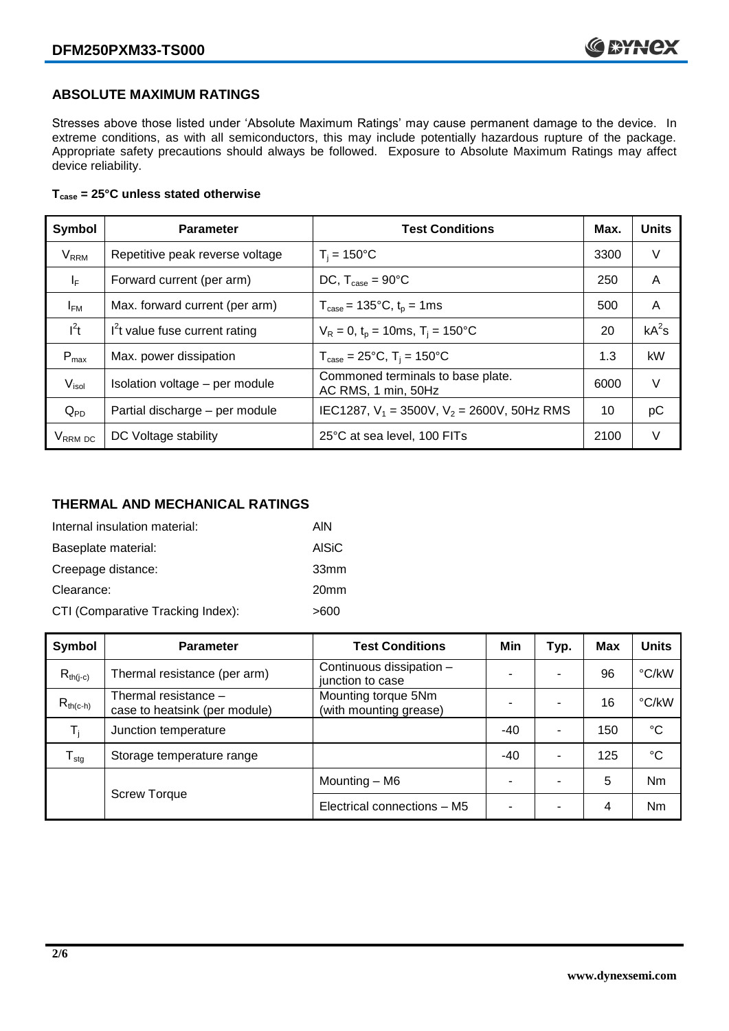#### **ABSOLUTE MAXIMUM RATINGS**

Stresses above those listed under 'Absolute Maximum Ratings' may cause permanent damage to the device. In extreme conditions, as with all semiconductors, this may include potentially hazardous rupture of the package. Appropriate safety precautions should always be followed. Exposure to Absolute Maximum Ratings may affect device reliability.

#### **Tcase = 25°C unless stated otherwise**

| Symbol                 | <b>Parameter</b>                | <b>Test Conditions</b>                                   | Max. | <b>Units</b> |
|------------------------|---------------------------------|----------------------------------------------------------|------|--------------|
| <b>V<sub>RRM</sub></b> | Repetitive peak reverse voltage | $T_i = 150^{\circ}C$                                     | 3300 | V            |
| $I_F$                  | Forward current (per arm)       | DC, $T_{\text{case}} = 90^{\circ}$ C                     | 250  | A            |
| $I_{FM}$               | Max. forward current (per arm)  | $T_{\text{case}} = 135^{\circ}C, t_{p} = 1ms$            | 500  | A            |
| $I^2t$                 | $I2t$ value fuse current rating | $V_R = 0$ , $t_p = 10$ ms, $T_i = 150^{\circ}$ C         | 20   | $kA^2s$      |
| $P_{max}$              | Max. power dissipation          | $T_{\text{case}} = 25^{\circ}C$ , $T_i = 150^{\circ}C$   | 1.3  | kW           |
| $V_{\sf isol}$         | Isolation voltage - per module  | Commoned terminals to base plate.<br>AC RMS, 1 min, 50Hz | 6000 | $\vee$       |
| $Q_{PD}$               | Partial discharge - per module  | IEC1287, $V_1$ = 3500V, $V_2$ = 2600V, 50Hz RMS          | 10   | рC           |
| V <sub>RRM</sub> DC    | DC Voltage stability            | 25°C at sea level, 100 FITs                              | 2100 | V            |

### **THERMAL AND MECHANICAL RATINGS**

| Internal insulation material:     | AIN              |
|-----------------------------------|------------------|
| Baseplate material:               | AISiC            |
| Creepage distance:                | 33mm             |
| Clearance:                        | 20 <sub>mm</sub> |
| CTI (Comparative Tracking Index): | >600             |

| Symbol                     | <b>Parameter</b>                                      | <b>Test Conditions</b>                        | Min   | Typ. | Max | <b>Units</b>    |
|----------------------------|-------------------------------------------------------|-----------------------------------------------|-------|------|-----|-----------------|
| $R_{th(j-c)}$              | Thermal resistance (per arm)                          | Continuous dissipation -<br>junction to case  |       |      | 96  | °C/kW           |
| $R_{th(c-h)}$              | Thermal resistance -<br>case to heatsink (per module) | Mounting torque 5Nm<br>(with mounting grease) |       |      | 16  | °C/kW           |
| $T_i$                      | Junction temperature                                  |                                               | $-40$ |      | 150 | $\rm ^{\circ}C$ |
| ${\mathsf T}_{\text{stg}}$ | Storage temperature range                             |                                               | $-40$ |      | 125 | $^{\circ}C$     |
| <b>Screw Torque</b>        |                                                       | Mounting - M6                                 | ۰     |      | 5   | <b>Nm</b>       |
|                            |                                                       | Electrical connections - M5                   | ۰     |      | 4   | <b>Nm</b>       |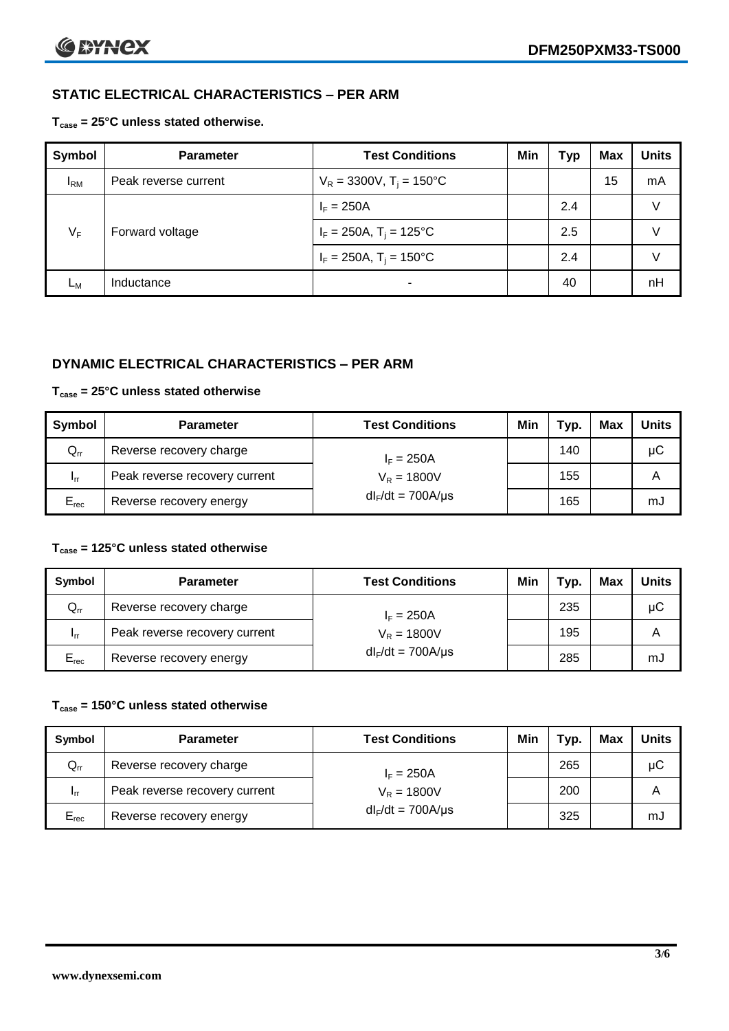### **STATIC ELECTRICAL CHARACTERISTICS – PER ARM**

**Tcase = 25°C unless stated otherwise.**

| Symbol       | <b>Parameter</b>     | <b>Test Conditions</b>                 | Min | Гур | <b>Max</b> | <b>Units</b> |
|--------------|----------------------|----------------------------------------|-----|-----|------------|--------------|
| $I_{\rm RM}$ | Peak reverse current | $V_R = 3300V$ , T <sub>i</sub> = 150°C |     |     | 15         | mA           |
| $V_F$        | Forward voltage      | $I_F = 250A$                           |     | 2.4 |            | V            |
|              |                      | $I_F = 250A$ , $T_i = 125^{\circ}C$    |     | 2.5 |            | V            |
|              |                      | $I_F = 250A$ , $T_i = 150^{\circ}C$    |     | 2.4 |            | V            |
| Lм           | Inductance           | -                                      |     | 40  |            | nH           |

#### **DYNAMIC ELECTRICAL CHARACTERISTICS – PER ARM**

#### **Tcase = 25°C unless stated otherwise**

| Symbol          | <b>Parameter</b>              | <b>Test Conditions</b> | Min | Typ. | Max | Units |
|-----------------|-------------------------------|------------------------|-----|------|-----|-------|
| $Q_{rr}$        | Reverse recovery charge       | $I_F = 250A$           |     | 140  |     | μC    |
| 1 <sub>rr</sub> | Peak reverse recovery current | $V_R = 1800V$          |     | 155  |     | Α     |
| $E_{rec}$       | Reverse recovery energy       | $dl_F/dt = 700A/\mu s$ |     | 165  |     | mJ    |

#### **Tcase = 125°C unless stated otherwise**

| Symbol                     | <b>Parameter</b>              | <b>Test Conditions</b> | Min | Typ. | <b>Max</b> | <b>Units</b> |
|----------------------------|-------------------------------|------------------------|-----|------|------------|--------------|
| $\mathsf{Q}_{\mathsf{rr}}$ | Reverse recovery charge       | $I_F = 250A$           |     | 235  |            | μC           |
| - Irr                      | Peak reverse recovery current | $V_R = 1800V$          |     | 195  |            | Α            |
| $E_{rec}$                  | Reverse recovery energy       | $dl_F/dt = 700A/\mu s$ |     | 285  |            | mJ           |

#### **Tcase = 150°C unless stated otherwise**

| Symbol          | <b>Parameter</b>              | <b>Test Conditions</b> | Min | Typ. | Max | Units |
|-----------------|-------------------------------|------------------------|-----|------|-----|-------|
| $Q_{rr}$        | Reverse recovery charge       | $I_F = 250A$           |     | 265  |     | μC    |
| 1 <sub>rr</sub> | Peak reverse recovery current | $V_R = 1800V$          |     | 200  |     | Α     |
| $E_{rec}$       | Reverse recovery energy       | $dl_F/dt = 700A/\mu s$ |     | 325  |     | mJ    |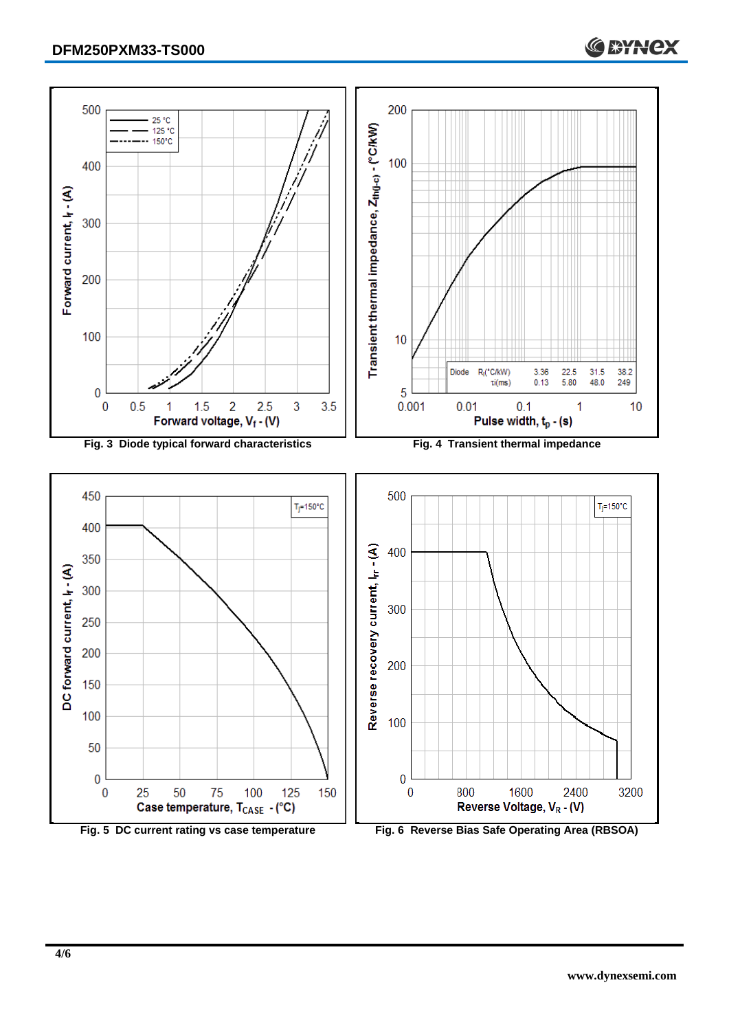

**Fig. 5 DC current rating vs case temperature Fig. 6 Reverse Bias Safe Operating Area (RBSOA)**

**C BYNCX**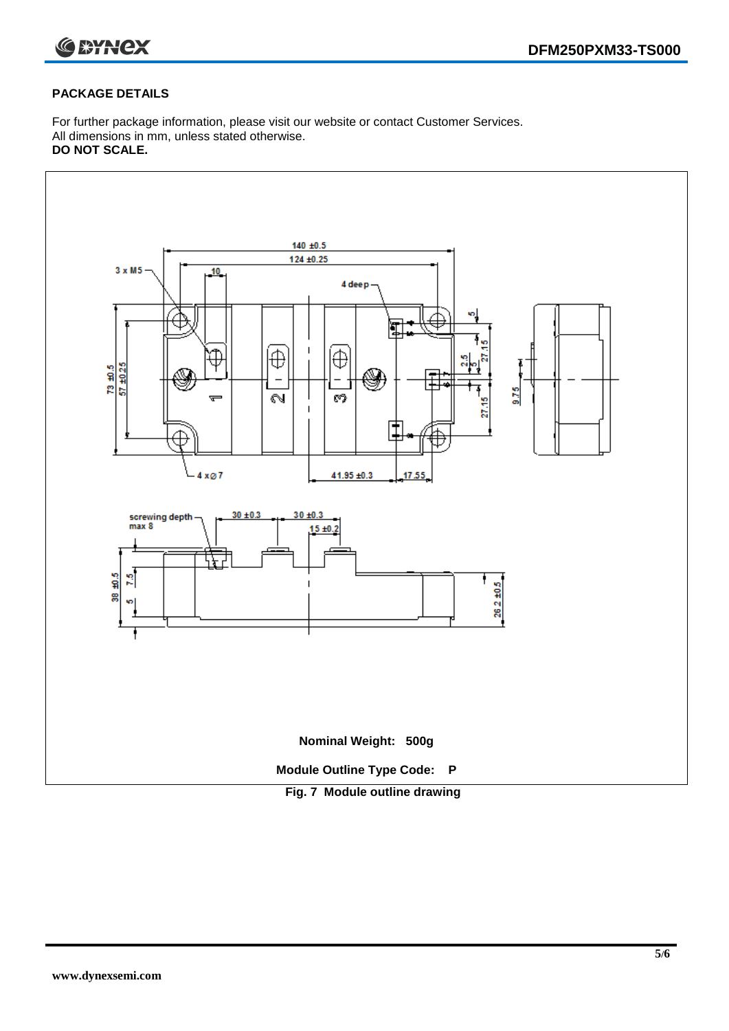

#### **PACKAGE DETAILS**

For further package information, please visit our website or contact Customer Services. All dimensions in mm, unless stated otherwise. **DO NOT SCALE.**